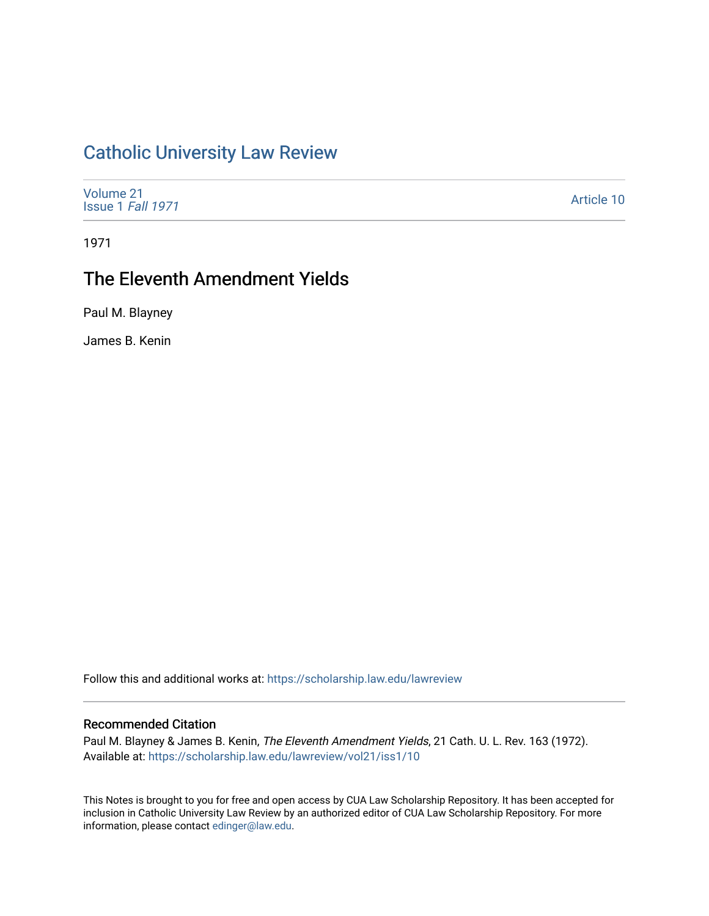# [Catholic University Law Review](https://scholarship.law.edu/lawreview)

| Volume 21<br>Issue 1 Fall 1971 |
|--------------------------------|
|--------------------------------|

1971

## The Eleventh Amendment Yields

Paul M. Blayney

James B. Kenin

Follow this and additional works at: [https://scholarship.law.edu/lawreview](https://scholarship.law.edu/lawreview?utm_source=scholarship.law.edu%2Flawreview%2Fvol21%2Fiss1%2F10&utm_medium=PDF&utm_campaign=PDFCoverPages)

### Recommended Citation

Paul M. Blayney & James B. Kenin, The Eleventh Amendment Yields, 21 Cath. U. L. Rev. 163 (1972). Available at: [https://scholarship.law.edu/lawreview/vol21/iss1/10](https://scholarship.law.edu/lawreview/vol21/iss1/10?utm_source=scholarship.law.edu%2Flawreview%2Fvol21%2Fiss1%2F10&utm_medium=PDF&utm_campaign=PDFCoverPages) 

This Notes is brought to you for free and open access by CUA Law Scholarship Repository. It has been accepted for inclusion in Catholic University Law Review by an authorized editor of CUA Law Scholarship Repository. For more information, please contact [edinger@law.edu.](mailto:edinger@law.edu)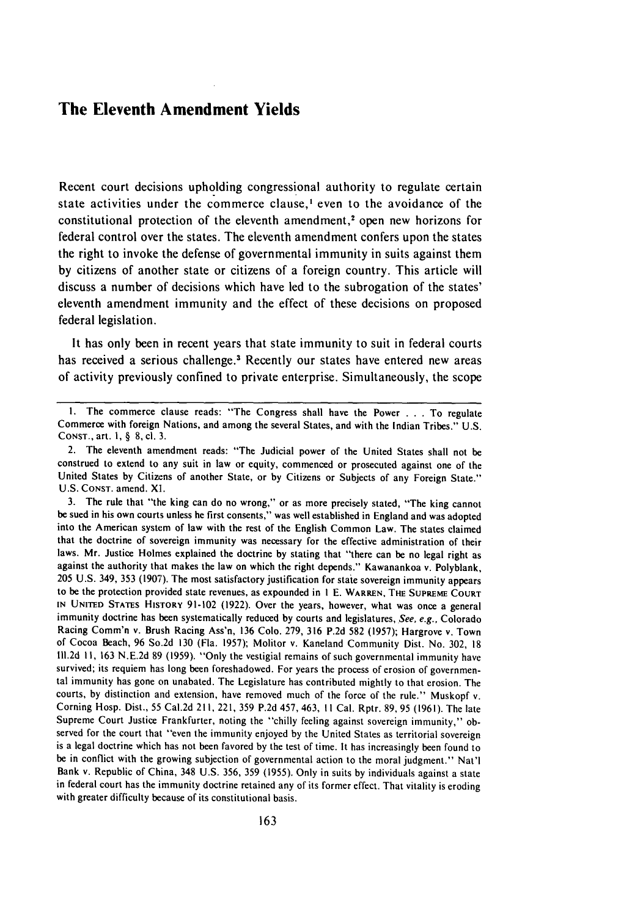### **The Eleventh Amendment Yields**

Recent court decisions upholding congressional authority to regulate certain state activities under the commerce clause,<sup>1</sup> even to the avoidance of the constitutional protection of the eleventh amendment,<sup>2</sup> open new horizons for federal control over the states. The eleventh amendment confers upon the states the right to invoke the defense of governmental immunity in suits against them by citizens of another state or citizens of a foreign country. This article will discuss a number of decisions which have led to the subrogation of the states' eleventh amendment immunity and the effect of these decisions on proposed federal legislation.

It has only been in recent years that state immunity to suit in federal courts has received a serious challenge.<sup>3</sup> Recently our states have entered new areas of activity previously confined to private enterprise. Simultaneously, the scope

I. The commerce clause reads: "The Congress shall have the Power . **.** . To regulate Commerce with foreign Nations, and among the several States, and with the Indian Tribes." U.S. CONST., art. 1, § 8, cl. 3.

<sup>2.</sup> The eleventh amendment reads: "The Judicial power of the United States shall not be construed to extend to any suit in law or equity, commenced or prosecuted against one of the United States by Citizens of another State, or by Citizens or Subjects of any Foreign State." U.S. CONST. amend. XL.

<sup>3.</sup> The rule that "the king can do no wrong," or as more precisely stated, "The king cannot be sued in his own courts unless he first consents," was well established in England and was adopted into the American system of law with the rest of the English Common Law. The states claimed that the doctrine of sovereign immunity was necessary for the effective administration of their laws. Mr. Justice Holmes explained the doctrine **by** stating that "there can be no legal right as against the authority that makes the law on which the right depends." Kawanankoa v. Polyblank, 205 U.S. 349, 353 (1907). The most satisfactory justification for state sovereign immunity appears to be the protection provided state revenues, as expounded in I E. WARREN, **THE SUPREME COURT IN** UNITED STATEs HISTORY 91-102 (1922). Over the years, however, what was once a general immunity doctrine has been systematically reduced by courts and legislatures, See, e.g., Colorado Racing Comm'n v. Brush Racing Ass'n, 136 Colo. 279, 316 P.2d 582 (1957); Hargrove v. Town of Cocoa Beach, 96 So.2d 130 (Fla. 1957); Molitor v. Kaneland Community Dist. No. 302, **18** lll.2d II, 163 N.E.2d 89 (1959). "Only the vestigial remains of such governmental immunity have survived; its requiem has long been foreshadowed. For years the process of erosion of governmental immunity has gone on unabated. The Legislature has contributed mightly to that erosion. The courts, by distinction and extension, have removed much of the force of the rule." Muskopf v. Corning Hosp. Dist., 55 Cal.2d 211, 221, 359 P.2d 457, 463, II Cal. Rptr. 89, 95 (1961). The late Supreme Court Justice Frankfurter, noting the "chilly feeling against sovereign immunity," observed for the court that "even the immunity enjoyed by the United States as territorial sovereign is a legal doctrine which has not been favored by the test of time. It has increasingly been found to be in conflict with the growing subjection of governmental action to the moral judgment." Nat'l Bank v. Republic of China, 348 U.S. 356, 359 (1955). Only in suits by individuals against a state in federal court has the immunity doctrine retained any of its former effect. That vitality is eroding with greater difficulty because of its constitutional basis.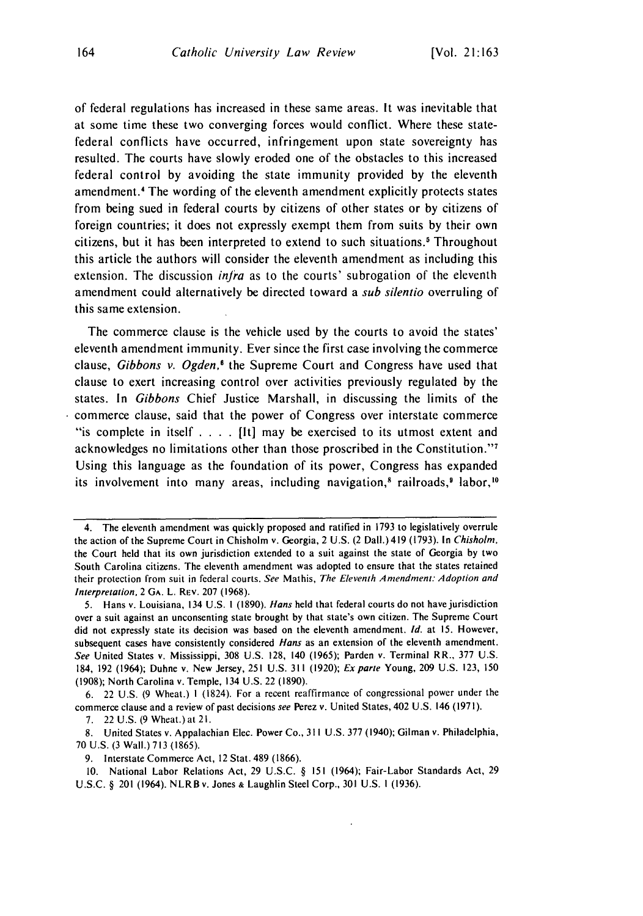of federal regulations has increased in these same areas. It was inevitable that at some time these two converging forces would conflict. Where these statefederal conflicts have occurred, infringement upon state sovereignty has resulted. The courts have slowly eroded one of the obstacles to this increased federal control by avoiding the state immunity provided by the eleventh amendment.<sup>4</sup> The wording of the eleventh amendment explicitly protects states from being sued in federal courts by citizens of other states or by citizens of foreign countries; it does not expressly exempt them from suits by their own citizens, but it has been interpreted to extend to such situations. Throughout this article the authors will consider the eleventh amendment as including this extension. The discussion *infra* as to the courts' subrogation of the eleventh amendment could alternatively be directed toward a sub silentio overruling of this same extension.

The commerce clause is the vehicle used by the courts to avoid the states' eleventh amendment immunity. Ever since the first case involving the commerce clause, Gibbons v. Ogden,<sup>6</sup> the Supreme Court and Congress have used that clause to exert increasing control over activities previously regulated by the states. In Gibbons Chief Justice Marshall, in discussing the limits of the commerce clause, said that the power of Congress over interstate commerce "is complete in itself . **. .** . [It] may be exercised to its utmost extent and acknowledges no limitations other than those proscribed in the Constitution."<sup>7</sup> Using this language as the foundation of its power, Congress has expanded its involvement into many areas, including navigation,<sup>8</sup> railroads,<sup>9</sup> labor,<sup>10</sup>

7. 22 U.S. (9 Wheat.)at 21.

9. Interstate Commerce Act, 12 Stat. 489 (1866).

10. National Labor Relations Act, 29 U.S.C. § 151 (1964); Fair-Labor Standards Act, 29 U.S.C. § 201 (1964). NLRBv. Jones **&** Laughlin Steel Corp., **301** U.S. **1** (1936).

<sup>4.</sup> The eleventh amendment was quickly proposed and ratified in 1793 to legislatively overrule the action of the Supreme Court in Chisholm v. Georgia, 2 U.S. (2 Dall.)419 (1793). In Chisholm, the Court held that its own jurisdiction extended to a suit against the state of Georgia by two South Carolina citizens. The eleventh amendment was adopted to ensure that the states retained their protection from suit in federal courts. See Mathis, The Eleventh Amendment: Adoption and Interpretation, 2 GA. L. REv. 207 (1968).

<sup>5.</sup> Hans v. Louisiana, 134 U.S. **I** (1890). *Hans* held that federal courts do not have jurisdiction over a suit against an unconsenting state brought by that state's own citizen. The Supreme Court did not expressly state its decision was based on the eleventh amendment. *Id.* at 15. However, subsequent cases have consistently considered *Hans* as an extension of the eleventh amendment. *See* United States v. Mississippi, 308 U.S. 128, 140 (1965); Parden v. Terminal RR., 377 U.S. 184, 192 (1964); Duhne v. New Jersey, 251 U.S. 311 (1920); *Exparte* Young, 209 U.S. 123, 150 (1908); North Carolina v. Temple, 134 U.S. 22 (1890).

<sup>6. 22</sup> U.S. (9 Wheat.) I (1824). For a recent reaffirmance of congressional power under the commerce clause and a review of past decisions *see* Perez v. United States, 402 U.S. 146 (1971).

<sup>8.</sup> United States v. Appalachian Elec. Power Co., 311 U.S. 377 (1940); Gilman v. Philadelphia, 70 U.S. (3 Wall.) 713 (1865).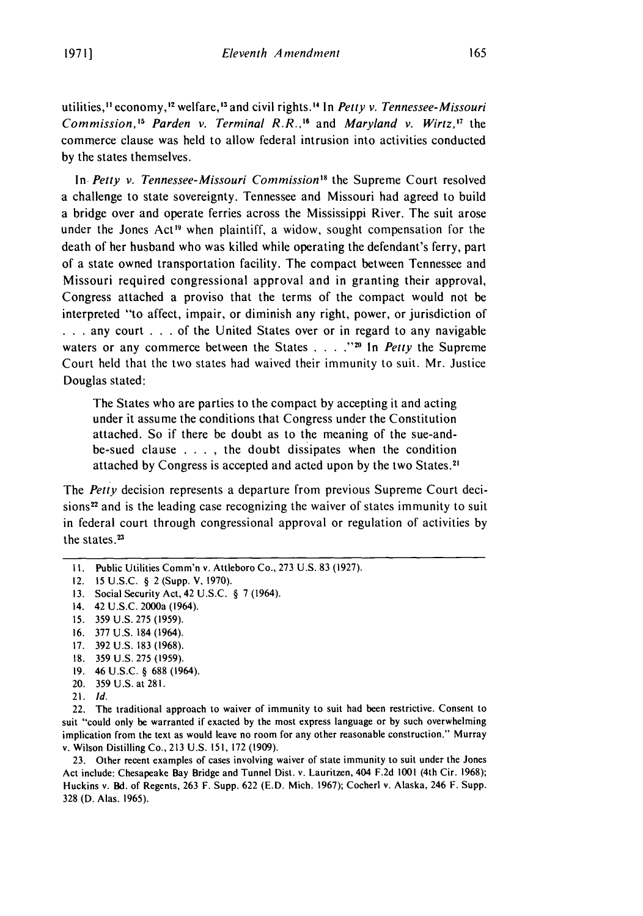utilities,<sup>11</sup> economy,<sup>12</sup> welfare,<sup>13</sup> and civil rights.<sup>14</sup> In *Petty v. Tennessee-Missouri Commission*,<sup>15</sup> Parden v. Terminal R.R.,<sup>16</sup> and *Maryland v. Wirtz*,<sup>17</sup> the commerce clause was held to allow federal intrusion into activities conducted by the states themselves.

In *Petty v. Tennessee-Missouri Commission"s* the Supreme Court resolved a challenge to state sovereignty. Tennessee and Missouri had agreed to build a bridge over and operate ferries across the Mississippi River. The suit arose under the Jones Act<sup>19</sup> when plaintiff, a widow, sought compensation for the death of her husband who was killed while operating the defendant's ferry, part of a state owned transportation facility. The compact between Tennessee and Missouri required congressional approval and in granting their approval, Congress attached a proviso that the terms of the compact would not be interpreted "to affect, impair, or diminish any right, power, or jurisdiction of **...** any court ... of the United States over or in regard to any navigable waters or any commerce between the States . . . . .<sup>220</sup> In *Petty* the Supreme Court held that the two states had waived their immunity to suit. Mr. Justice Douglas stated:

The States who are parties to the compact by accepting it and acting under it assume the conditions that Congress under the Constitution attached. So if there be doubt as to the meaning of the sue-andbe-sued clause .**. . .** the doubt dissipates when the condition attached by Congress is accepted and acted upon by the two States.'

The *Petty* decision represents a departure from previous Supreme Court decisions<sup>22</sup> and is the leading case recognizing the waiver of states immunity to suit in federal court through congressional approval or regulation of activities by the states.<sup>23</sup>

16. 377 U.S. 184 (1964).

- 18. 359 U.S. 275 (1959).
- 19. 46 U.S.C. § 688 (1964).
- 20. 359 U.S. at 281.
- 21. *Id.*

22. The traditional approach to waiver of immunity to suit had been restrictive. Consent to suit "could only be warranted if exacted by the most express language or by such overwhelming implication from the text as would leave no room for any other reasonable construction." Murray v. Wilson Distilling Co., 213 U.S. 151, 172 (1909).

23. Other recent examples of cases involving waiver of state immunity to suit under the Jones Act include: Chesapeake Bay Bridge and Tunnel Dist. v. Lauritzen, 404 F.2d 1001 (4th Cir. 1968); Huckins v. Bd. of Regents, 263 F. Supp. 622 (E.D. Mich. 1967); Cocherl v. Alaska, 246 F. Supp. 328 (D. Alas. 1965).

**I1.** Public Utilities Comm'n v. Attleboro Co., 273 U.S. 83 (1927).

<sup>12. 15</sup> U.S.C. § 2 (Supp. V, 1970).

<sup>13.</sup> Social Security Act, 42 U.S.C. § 7 (1964).

<sup>14. 42</sup> U.S.C. 2000a (1964).

<sup>15. 359</sup> U.S. 275 (1959).

<sup>17. 392</sup> U.S. 183 (1968).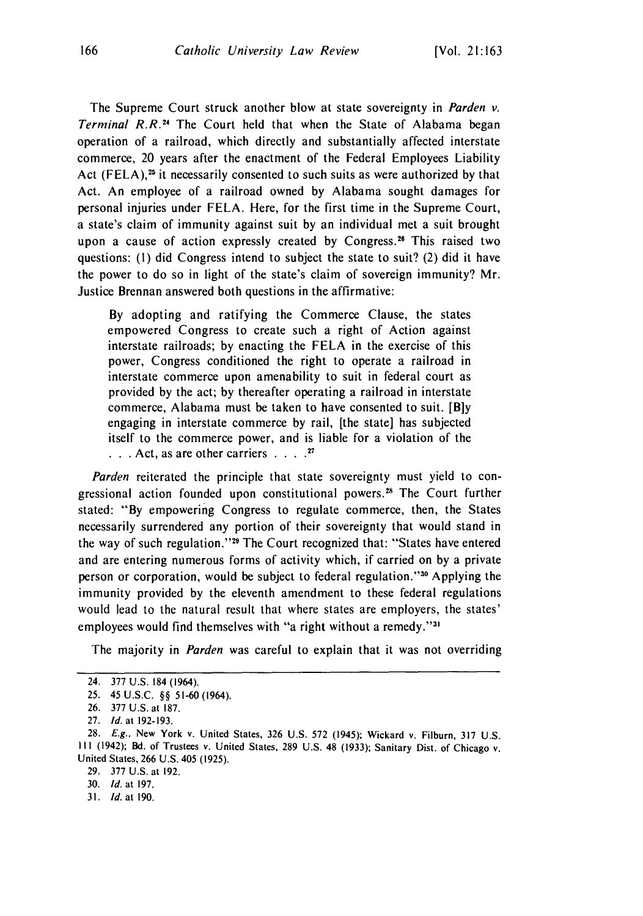The Supreme Court struck another blow at state sovereignty in Parden v. Terminal R.R.<sup>24</sup> The Court held that when the State of Alabama begar operation of a railroad, which directly and substantially affected interstate commerce, 20 years after the enactment of the Federal Employees Liability Act (FELA), $25$  it necessarily consented to such suits as were authorized by that Act. An employee of a railroad owned by Alabama sought damages for personal injuries under FELA. Here, for the first time in the Supreme Court, a state's claim of immunity against suit by an individual met a suit brought upon a cause of action expressly created by Congress.<sup>26</sup> This raised two questions: (I) did Congress intend to subject the state to suit? (2) did it have the power to do so in light of the state's claim of sovereign immunity? Mr. Justice Brennan answered both questions in the affirmative:

By adopting and ratifying the Commerce Clause, the states empowered Congress to create such a right of Action against interstate railroads; by enacting the FELA in the exercise of this power, Congress conditioned the right to operate a railroad in interstate commerce upon amenability to suit in federal court as provided by the act; by thereafter operating a railroad in interstate commerce, Alabama must be taken to have consented to suit. **[Bly** engaging in interstate commerce by rail, [the state] has subjected itself to the commerce power, and is liable for a violation of the **.. .**Act, as are other carriers **....** <sup>21</sup>

Parden reiterated the principle that state sovereignty must yield to congressional action founded upon constitutional powers.<sup>28</sup> The Court further stated: "By empowering Congress to regulate commerce, then, the States necessarily surrendered any portion of their sovereignty that would stand in the way of such regulation."<sup>29</sup> The Court recognized that: "States have entered and are entering numerous forms of activity which, if carried on by a private person or corporation, would be subject to federal regulation."<sup>30</sup> Applying the immunity provided by the eleventh amendment to these federal regulations would lead to the natural result that where states are employers, the states' employees would find themselves with "a right without a remedy."<sup>3</sup>

The majority in *Parden* was careful to explain that it was not overriding

31. *Id.* at 190.

<sup>24. 377</sup> U.S. 184 (1964).

<sup>25.</sup> 45 U.S.C. §§ 51-60 (1964).

<sup>26. 377</sup> U.S. at 187.

<sup>27.</sup> *Id.* at 192-193.

<sup>28.</sup> *E.g.,* New York v. United States, 326 U.S. 572 (1945); Wickard v. Filburn, 317 U.S. **S1** (1942); Bd. of Trustees v. United States, 289 U.S. 48 (1933); Sanitary Dist. of Chicago v. United States, 266 U.S. 405 (1925).

<sup>29. 377</sup> U.S. at 192.

<sup>30.</sup> *Id.* at 197.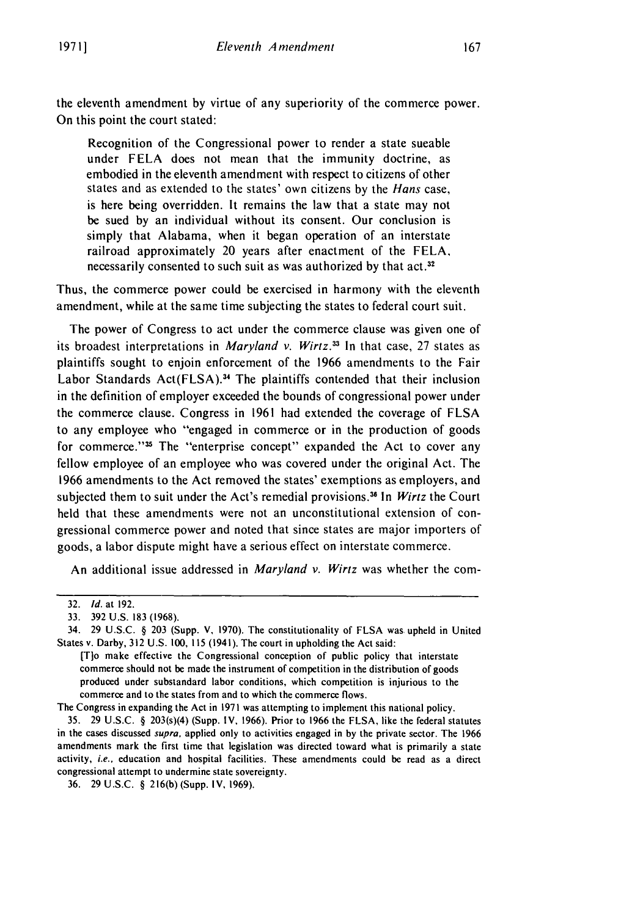the eleventh amendment by virtue of any superiority of the commerce power. On this point the court stated:

Recognition of the Congressional power to render a state sueable under FELA does not mean that the immunity doctrine, as embodied in the eleventh amendment with respect to citizens of other states and as extended to the states' own citizens by the Hans case, is here being overridden. It remains the law that a state may not be sued by an individual without its consent. Our conclusion is simply that Alabama, when it began operation of an interstate railroad approximately 20 years after enactment of the FELA, necessarily consented to such suit as was authorized by that act.<sup>32</sup>

Thus, the commerce power could be exercised in harmony with the eleventh amendment, while at the same time subjecting the states to federal court suit.

The power of Congress to act under the commerce clause was given one of its broadest interpretations in Maryland *v. Wirtz. <sup>3</sup> <sup>1</sup>*In that case, 27 states as plaintiffs sought to enjoin enforcement of the 1966 amendments to the Fair Labor Standards  $Act(FLSA).$ <sup>34</sup> The plaintiffs contended that their inclusion in the definition of employer exceeded the bounds of congressional power under the commerce clause. Congress in 1961 had extended the coverage of FLSA to any employee who "engaged in commerce or in the production of goods for commerce."<sup>35</sup> The "enterprise concept" expanded the Act to cover any fellow employee of an employee who was covered under the original Act. The 1966 amendments to the Act removed the states' exemptions as employers, and subjected them to suit under the Act's remedial provisions.<sup>36</sup> In *Wirtz* the Court held that these amendments were not an unconstitutional extension of congressional commerce power and noted that since states are major importers of goods, a labor dispute might have a serious effect on interstate commerce.

An additional issue addressed in *Maryland v. Wirtz* was whether the com-

The Congress in expanding the Act in 1971 was attempting to implement this national policy.

35. 29 U.S.C. § 203(s)(4) (Supp. IV, 1966). Prior to 1966 the FLSA, like the federal statutes in the cases discussed *supra,* applied only to activities engaged in by the private sector. The 1966 amendments mark the first time that legislation was directed toward what is primarily a state activity, i.e., education and hospital facilities. These amendments could be read as a direct congressional attempt to undermine state sovereignty.

<sup>32.</sup> *Id.* at 192.

<sup>33. 392</sup> U.S. 183 (1968).

<sup>34. 29</sup> U.S.C. § 203 (Supp. V, 1970). The constitutionality of FLSA was, upheld in United States v. Darby, 312 U.S. 100, 115 (1941). The court in upholding the Act said:

<sup>[</sup>T]o make effective the Congressional conception of public policy that interstate commerce should not be made the instrument of competition in the distribution of goods produced under substandard labor conditions, which competition is injurious to the commerce and to the states from and to which the commerce flows.

<sup>36. 29</sup> U.S.C. § 216(b) (Supp. IV, 1969).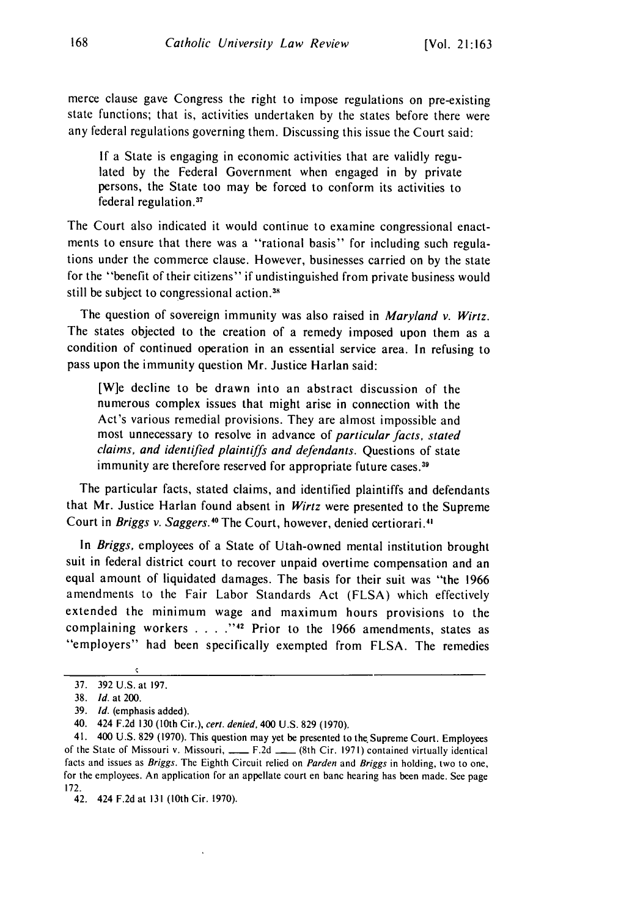merce clause gave Congress the right to impose regulations on pre-existing state functions; that is, activities undertaken by the states before there were any federal regulations governing them. Discussing this issue the Court said:

If a State is engaging in economic activities that are validly regulated by the Federal Government when engaged in by private persons, the State too may be forced to conform its activities to federal regulation.<sup>37</sup>

The Court also indicated it would continue to examine congressional enactments to ensure that there was a "rational basis" for including such regulations under the commerce clause. However, businesses carried on by the state for the "benefit of their citizens" if undistinguished from private business would still be subject to congressional action.<sup>38</sup>

The question of sovereign immunity was also raised in *Maryland v. Wirtz*. The states objected to the creation of a remedy imposed upon them as a condition of continued operation in an essential service area. In refusing to pass upon the immunity question Mr. Justice Harlan said:

[W]e decline to be drawn into an abstract discussion of the numerous complex issues that might arise in connection with the Act's various remedial provisions. They are almost impossible and most unnecessary to resolve in advance of particular facts, stated claims, and identified plaintiffs and defendants. Questions of state immunity are therefore reserved for appropriate future cases.<sup>39</sup>

The particular facts, stated claims, and identified plaintiffs and defendants that Mr. Justice Harlan found absent in *Wirtz* were presented to the Supreme Court in Briggs v. Saggers.<sup>40</sup> The Court, however, denied certiorari.<sup>41</sup>

In Briggs, employees of a State of Utah-owned mental institution brought suit in federal district court to recover unpaid overtime compensation and an equal amount of liquidated damages. The basis for their suit was "the 1966 amendments to the Fair Labor Standards Act (FLSA) which effectively extended the minimum wage and maximum hours provisions to the complaining workers .... **."4** Prior to the 1966 amendments, states as "employers" had been specifically exempted from FLSA. The remedies

<sup>37. 392</sup> U.S. at 197.

<sup>38.</sup> *Id.* at 200.

<sup>39.</sup> *Id.* (emphasis added).

<sup>40. 424</sup> F.2d 130 (10th Cir.), ceri. denied, 400 U.S. 829 (1970).

<sup>41. 400</sup> U.S. 829 (1970). This question may yet be presented to the. Supreme Court. Employees of the State of Missouri v. Missouri, \_\_\_ F.2d \_\_ (8th Cir. 1971) contained virtually identical facts and issues as *Briggs.* The Eighth Circuit relied on *Parden* and *Briggs* in holding, two to one, for the employees. An application for an appellate court en banc hearing has been made. See page 172.

<sup>42. 424</sup> F.2d at 131 (10th Cir. 1970).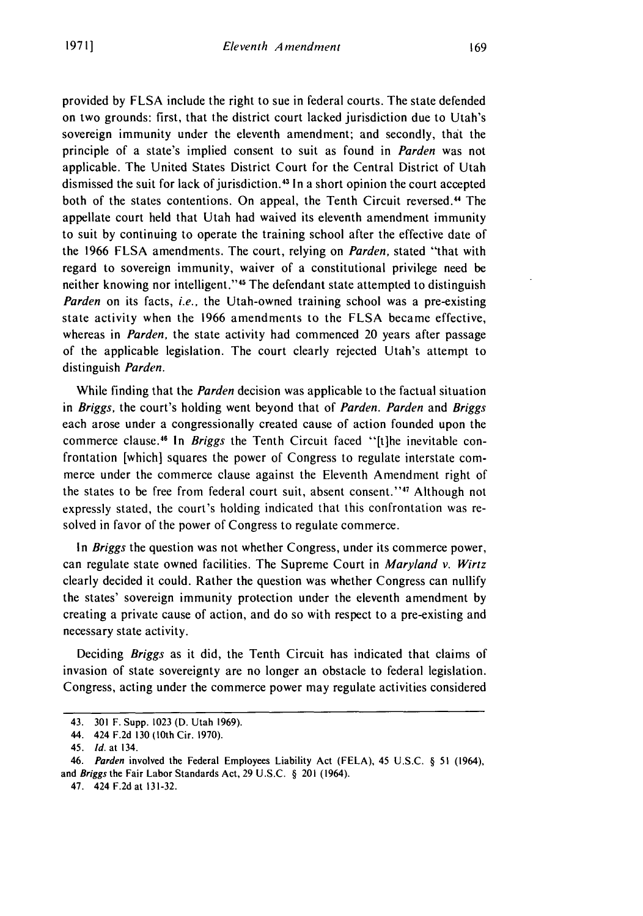provided by FLSA include the right to sue in federal courts. The state defended on two grounds: first, that the district court lacked jurisdiction due to Utah's sovereign immunity under the eleventh amendment; and secondly, that the principle of a state's implied consent to suit as found in Parden was not applicable. The United States District Court for the Central District of Utah dismissed the suit for lack of jurisdiction.43 In a short opinion the court accepted both of the states contentions. On appeal, the Tenth Circuit reversed.<sup>44</sup> The appellate court held that Utah had waived its eleventh amendment immunity to suit by continuing to operate the training school after the effective date of the 1966 FLSA amendments. The court, relying on Parden, stated "that with regard to sovereign immunity, waiver of a constitutional privilege need be neither knowing nor intelligent."<sup>45</sup> The defendant state attempted to distinguish *Parden* on its facts, *i.e.*, the Utah-owned training school was a pre-existing state activity when the 1966 amendments to the FLSA became effective, whereas in *Parden,* the state activity had commenced 20 years after passage of the applicable legislation. The court clearly rejected Utah's attempt to distinguish *Parden.*

While finding that the *Parden* decision was applicable to the factual situation in *Briggs,* the court's holding went beyond that of *Parden. Parden* and *Briggs* each arose under a congressionally created cause of action founded upon the commerce clause. 6 In *Briggs* the Tenth Circuit faced "[t]he inevitable confrontation [which] squares the power of Congress to regulate interstate commerce under the commerce clause against the Eleventh Amendment right of the states to be free from federal court suit, absent consent."<sup>47</sup> Although not expressly stated, the court's holding indicated that this confrontation was resolved in favor of the power of Congress to regulate commerce.

In *Briggs* the question was not whether Congress, under its commerce power, can regulate state owned facilities. The Supreme Court in *Maryland v. Wirtz* clearly decided it could. Rather the question was whether Congress can nullify the states' sovereign immunity protection under the eleventh amendment by creating a private cause of action, and do so with respect to a pre-existing and necessary state activity.

Deciding *Briggs* as it did, the Tenth Circuit has indicated that claims of invasion of state sovereignty are no longer an obstacle to federal legislation. Congress, acting under the commerce power may regulate activities considered

<sup>43. 301</sup> F. Supp. 1023 (D. Utah 1969).

<sup>44. 424</sup> F.2d 130 (10th Cir. 1970).

<sup>45.</sup> *Id.* at 134.

*<sup>46.</sup> Parden* involved the Federal Employees Liability Act (FELA), 45 U.S.C. § 51 (1964), and *Briggs* the Fair Labor Standards Act, 29 U.S.C. § 201 (1964).

<sup>47. 424</sup> F.2d at 131-32.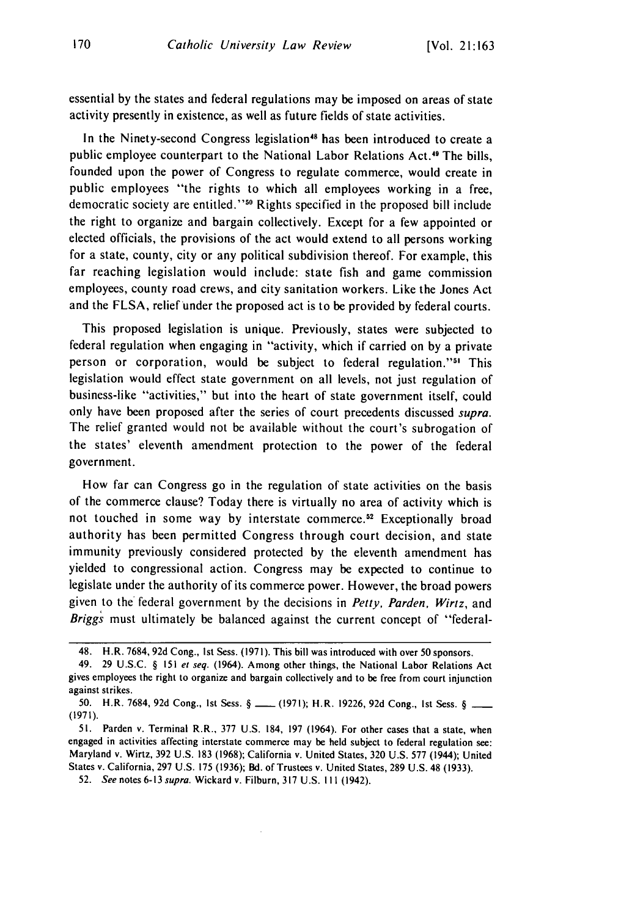essential by the states and federal regulations may be imposed on areas of state activity presently in existence, as well as future fields of state activities.

In the Ninety-second Congress legislation<sup>48</sup> has been introduced to create a public employee counterpart to the National Labor Relations Act.49 The bills, founded upon the power of Congress to regulate commerce, would create in public employees "the rights to which all employees working in a free, democratic society are entitled."<sup>50</sup> Rights specified in the proposed bill include the right to organize and bargain collectively. Except for a few appointed or elected officials, the provisions of the act would extend to all persons working for a state, county, city or any political subdivision thereof. For example, this far reaching legislation would include: state fish and game commission employees, county road crews, and city sanitation workers. Like the Jones Act and the FLSA, relief under the proposed act is to be provided by federal courts.

This proposed legislation is unique. Previously, states were subjected to federal regulation when engaging in "activity, which if carried on by a private person or corporation, would be subject to federal regulation."<sup>51</sup> This legislation would effect state government on all levels, not just regulation of business-like "activities," but into the heart of state government itself, could only have been proposed after the series of court precedents discussed *supra.* The relief granted would not be available without the court's subrogation of the states' eleventh amendment protection to the power of the federal government.

How far can Congress go in the regulation of state activities on the basis of the commerce clause? Today there is virtually no area of activity which is not touched in some way by interstate commerce.<sup>52</sup> Exceptionally broad authority has been permitted Congress through court decision, and state immunity previously considered protected by the eleventh amendment has yielded to congressional action. Congress may be expected to continue to legislate under the authority of its commerce power. However, the broad powers given to the federal government by the decisions in *Petty, Parden, Wirtz,* and Briggs must ultimately be balanced against the current concept of "federal-

<sup>48.</sup> H.R. 7684, 92d Cong., Ist Sess. (1971). This bill was introduced with over 50 sponsors.

<sup>49. 29</sup> U.S.C. § 151 et seq. (1964). Among other things, the National Labor Relations Act gives employees the right to organize and bargain collectively and to be free from court injunction against strikes.

<sup>50.</sup> H.R. 7684, 92d Cong., 1st Sess. § \_\_\_ (1971); H.R. 19226, 92d Cong., 1st Sess. § \_ (1971).

<sup>51.</sup> Parden v. Terminal R.R., 377 U.S. 184, 197 (1964). For other cases that a state, when engaged in activities affecting interstate commerce may be held subject to federal regulation see: Maryland v. Wirtz, 392 U.S. 183 (1968); California v. United States, 320 U.S. 577 (1944); United States v. California, 297 U.S. 175 (1936); Bd. of Trustees v. United States, 289 U.S. 48 (1933).

**<sup>52.</sup>** See notes 6-13 supra. Wickard v. Filburn, 317 U.S. **I** 11 (1942).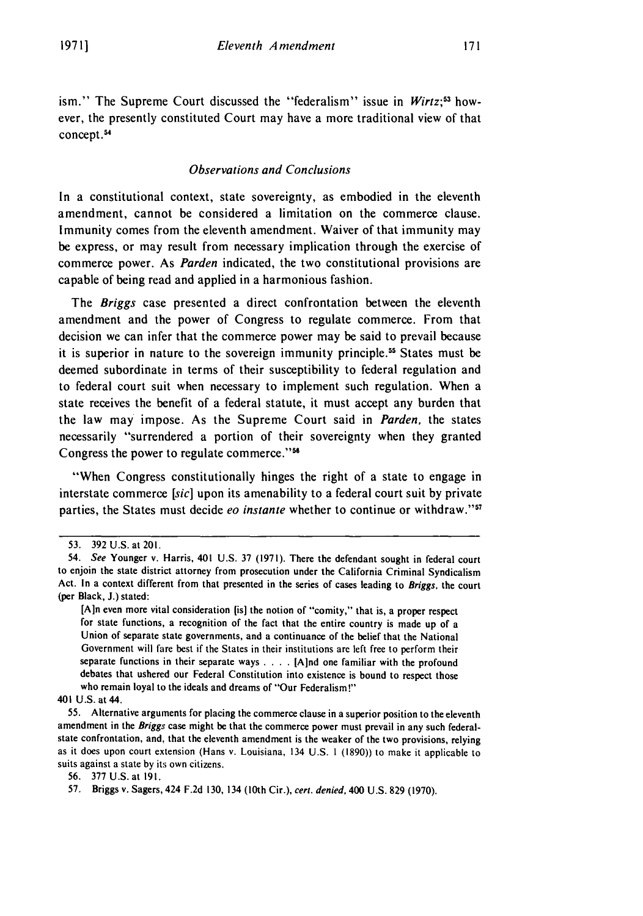ism." The Supreme Court discussed the "federalism" issue in *Wirtz*;<sup>53</sup> however, the presently constituted Court may have a more traditional view of that concept.54

#### *Observations and Conclusions*

In a constitutional context, state sovereignty, as embodied in the eleventh amendment, cannot be considered a limitation on the commerce clause. Immunity comes from the eleventh amendment. Waiver of that immunity may be express, or may result from necessary implication through the exercise of commerce power. As *Parden* indicated, the two constitutional provisions are capable of being read and applied in a harmonious fashion.

The *Briggs* case presented a direct confrontation between the eleventh amendment and the power of Congress to regulate commerce. From that decision we can infer that the commerce power may be said to prevail because it is superior in nature to the sovereign immunity principle." States must be deemed subordinate in terms of their susceptibility to federal regulation and to federal court suit when necessary to implement such regulation. When a state receives the benefit of a federal statute, it must accept any burden that the law may impose. As the Supreme Court said in *Parden,* the states necessarily "surrendered a portion of their sovereignty when they granted Congress the power to regulate commerce."<sup>56</sup>

"When Congress constitutionally hinges the right of a state to engage in interstate commerce *[sic]* upon its amenability to a federal court suit **by** private parties, the States must decide *eo instante* whether to continue or withdraw."'

**<sup>53. 392</sup> U.S.** at **201.**

<sup>54.</sup> See Younger v. Harris, 401 **U.S. 37 (1971).** There the defendant sought in federal court to enjoin the state district attorney from prosecution under the California Criminal Syndicalism Act. In a context different from that presented in the series of cases leading to Briggs, the court (per Black, **J.)** stated:

**<sup>[</sup>Ain** even more vital consideration (is] the notion of "comity," that is, a proper respect for state functions, a recognition **of** the fact that the entire country is made up of a Union of separate state governments, and a continuance of the belief that the National Government will fare best if the States in their institutions are left free to perform their separate functions in their separate ways **.. . .** [Aind one familiar with the profound debates that ushered our Federal Constitution into existence is bound to respect those who remain loyal to the ideals and dreams of "Our Federalism!"

<sup>401</sup> **U.S.** at 44.

**<sup>55.</sup>** Alternative arguments for placing the commerce clause in a superior position to the eleventh amendment in the Briggs case might be that the commerce power must prevail in any such federalstate confrontation, and, that the eleventh amendment is the weaker of the two provisions, relying as it does upon court extension (Hans v. Louisiana, 134 **U.S. 1 (1890))** to make it applicable to suits against a state **by** its own citizens.

**<sup>56. 377</sup> U.S.** at **191.**

**<sup>57.</sup>** Briggs v. Sagers, 424 **F.2d 130,** 134 (10th Cir.), cert. denied, 400 **U.S. 829 (1970).**